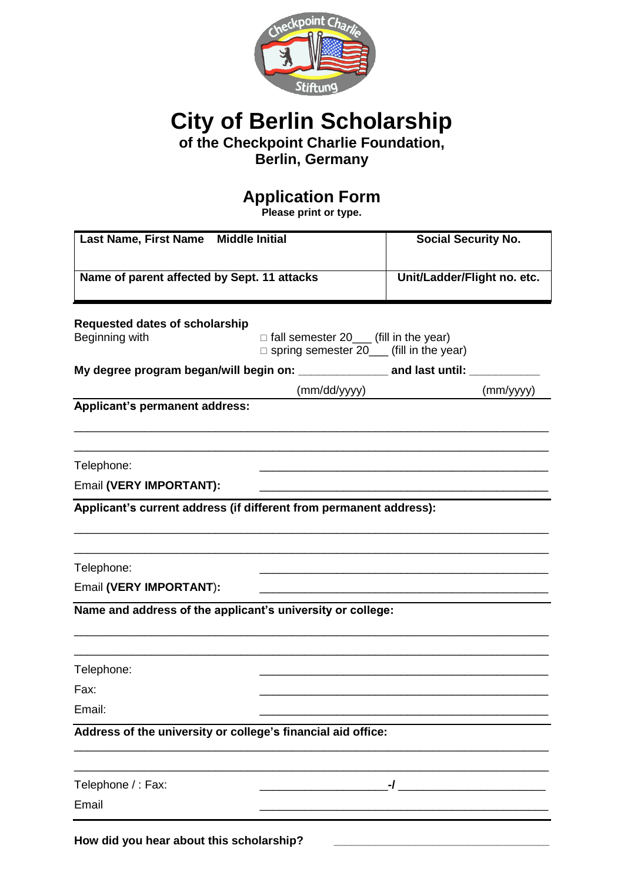

**City of Berlin Scholarship**

**of the Checkpoint Charlie Foundation,** 

**Berlin, Germany**

## **Application Form**

**Please print or type.**

| Last Name, First Name Middle Initial                               |                                                                                                    | <b>Social Security No.</b>  |
|--------------------------------------------------------------------|----------------------------------------------------------------------------------------------------|-----------------------------|
| Name of parent affected by Sept. 11 attacks                        |                                                                                                    | Unit/Ladder/Flight no. etc. |
| <b>Requested dates of scholarship</b><br>Beginning with            | $\Box$ fall semester 20____ (fill in the year)<br>$\Box$ spring semester 20____ (fill in the year) |                             |
|                                                                    |                                                                                                    |                             |
|                                                                    | (mm/dd/yyyy)                                                                                       | (mm/yyyy)                   |
| Applicant's permanent address:                                     |                                                                                                    |                             |
|                                                                    |                                                                                                    |                             |
| Telephone:                                                         |                                                                                                    |                             |
| Email (VERY IMPORTANT):                                            |                                                                                                    |                             |
| Applicant's current address (if different from permanent address): |                                                                                                    |                             |
|                                                                    |                                                                                                    |                             |
| Telephone:                                                         |                                                                                                    |                             |
| Email (VERY IMPORTANT):                                            |                                                                                                    |                             |
| Name and address of the applicant's university or college:         |                                                                                                    |                             |
|                                                                    |                                                                                                    |                             |
| Telephone:                                                         |                                                                                                    |                             |
| Fax:                                                               |                                                                                                    |                             |
| Email:                                                             |                                                                                                    |                             |
| Address of the university or college's financial aid office:       |                                                                                                    |                             |
|                                                                    |                                                                                                    |                             |
| Telephone / : Fax:                                                 |                                                                                                    |                             |
| Email                                                              |                                                                                                    |                             |
| How did you hear about this scholarship?                           |                                                                                                    |                             |